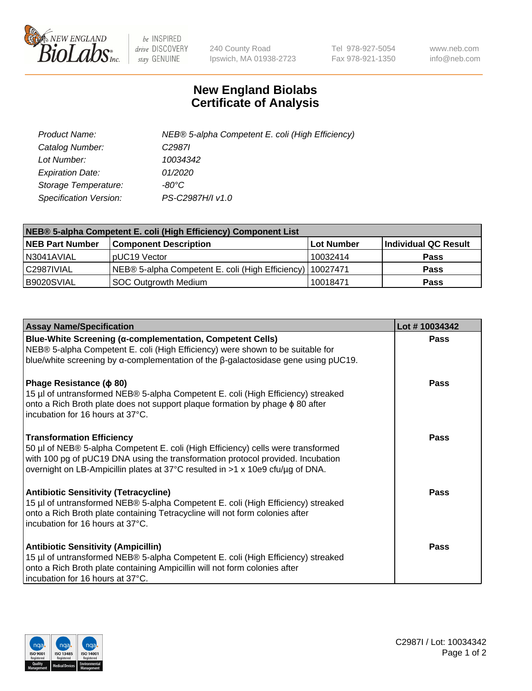

 $be$  INSPIRED drive DISCOVERY stay GENUINE

240 County Road Ipswich, MA 01938-2723 Tel 978-927-5054 Fax 978-921-1350 www.neb.com info@neb.com

## **New England Biolabs Certificate of Analysis**

| Product Name:           | NEB® 5-alpha Competent E. coli (High Efficiency) |
|-------------------------|--------------------------------------------------|
| Catalog Number:         | C <sub>2987</sub>                                |
| Lot Number:             | 10034342                                         |
| <b>Expiration Date:</b> | 01/2020                                          |
| Storage Temperature:    | -80°C                                            |
| Specification Version:  | PS-C2987H/I v1.0                                 |

| NEB® 5-alpha Competent E. coli (High Efficiency) Component List |                                                             |            |                      |  |
|-----------------------------------------------------------------|-------------------------------------------------------------|------------|----------------------|--|
| <b>NEB Part Number</b>                                          | <b>Component Description</b>                                | Lot Number | Individual QC Result |  |
| N3041AVIAL                                                      | pUC19 Vector                                                | 10032414   | <b>Pass</b>          |  |
| C2987IVIAL                                                      | NEB® 5-alpha Competent E. coli (High Efficiency)   10027471 |            | <b>Pass</b>          |  |
| B9020SVIAL                                                      | SOC Outgrowth Medium                                        | 10018471   | <b>Pass</b>          |  |

| <b>Assay Name/Specification</b>                                                                                                                                                                                                                                                           | Lot #10034342 |
|-------------------------------------------------------------------------------------------------------------------------------------------------------------------------------------------------------------------------------------------------------------------------------------------|---------------|
| <b>Blue-White Screening (α-complementation, Competent Cells)</b><br>NEB® 5-alpha Competent E. coli (High Efficiency) were shown to be suitable for<br>blue/white screening by $\alpha$ -complementation of the $\beta$ -galactosidase gene using pUC19.                                   | Pass          |
| Phage Resistance ( $\phi$ 80)<br>15 µl of untransformed NEB® 5-alpha Competent E. coli (High Efficiency) streaked<br>onto a Rich Broth plate does not support plaque formation by phage φ 80 after<br>incubation for 16 hours at 37°C.                                                    | <b>Pass</b>   |
| <b>Transformation Efficiency</b><br>50 µl of NEB® 5-alpha Competent E. coli (High Efficiency) cells were transformed<br>with 100 pg of pUC19 DNA using the transformation protocol provided. Incubation<br>overnight on LB-Ampicillin plates at 37°C resulted in >1 x 10e9 cfu/µg of DNA. | Pass          |
| <b>Antibiotic Sensitivity (Tetracycline)</b><br>15 µl of untransformed NEB® 5-alpha Competent E. coli (High Efficiency) streaked<br>onto a Rich Broth plate containing Tetracycline will not form colonies after<br>incubation for 16 hours at 37°C.                                      | Pass          |
| <b>Antibiotic Sensitivity (Ampicillin)</b><br>15 µl of untransformed NEB® 5-alpha Competent E. coli (High Efficiency) streaked<br>onto a Rich Broth plate containing Ampicillin will not form colonies after<br>incubation for 16 hours at 37°C.                                          | Pass          |